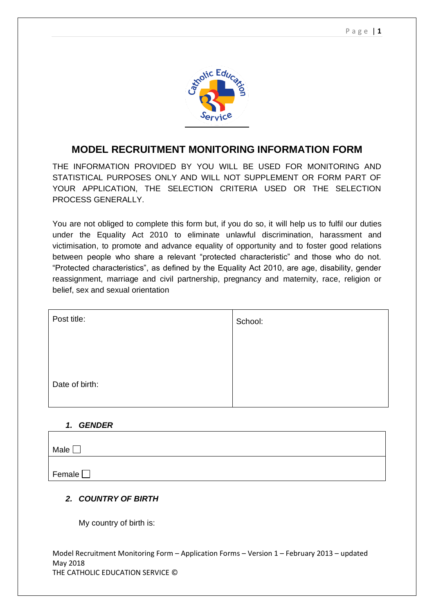

# **MODEL RECRUITMENT MONITORING INFORMATION FORM**

THE INFORMATION PROVIDED BY YOU WILL BE USED FOR MONITORING AND STATISTICAL PURPOSES ONLY AND WILL NOT SUPPLEMENT OR FORM PART OF YOUR APPLICATION, THE SELECTION CRITERIA USED OR THE SELECTION PROCESS GENERALLY.

You are not obliged to complete this form but, if you do so, it will help us to fulfil our duties under the Equality Act 2010 to eliminate unlawful discrimination, harassment and victimisation, to promote and advance equality of opportunity and to foster good relations between people who share a relevant "protected characteristic" and those who do not. "Protected characteristics", as defined by the Equality Act 2010, are age, disability, gender reassignment, marriage and civil partnership, pregnancy and maternity, race, religion or belief, sex and sexual orientation

| Post title:    | School: |
|----------------|---------|
|                |         |
|                |         |
| Date of birth: |         |
|                |         |

#### *1. GENDER*

| Male $\square$ |  |
|----------------|--|
|                |  |
| Female         |  |

### *2. COUNTRY OF BIRTH*

My country of birth is: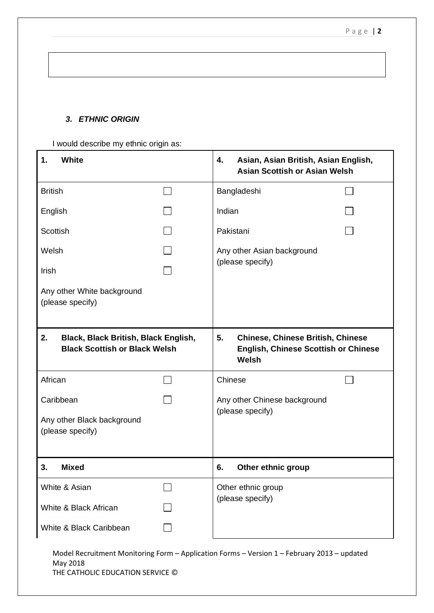### *3. ETHNIC ORIGIN*

I would describe my ethnic origin as:

| <b>White</b><br>1.                                                                 |  | 4.<br>Asian, Asian British, Asian English,<br><b>Asian Scottish or Asian Welsh</b>                     |  |
|------------------------------------------------------------------------------------|--|--------------------------------------------------------------------------------------------------------|--|
| <b>British</b>                                                                     |  | Bangladeshi                                                                                            |  |
| English                                                                            |  | Indian                                                                                                 |  |
| Scottish                                                                           |  | Pakistani                                                                                              |  |
| Welsh                                                                              |  | Any other Asian background<br>(please specify)                                                         |  |
| Irish                                                                              |  |                                                                                                        |  |
| Any other White background<br>(please specify)                                     |  |                                                                                                        |  |
| 2.<br>Black, Black British, Black English,<br><b>Black Scottish or Black Welsh</b> |  | 5.<br><b>Chinese, Chinese British, Chinese</b><br><b>English, Chinese Scottish or Chinese</b><br>Welsh |  |
| African                                                                            |  | Chinese                                                                                                |  |
| Caribbean                                                                          |  | Any other Chinese background                                                                           |  |
| Any other Black background<br>(please specify)                                     |  | (please specify)                                                                                       |  |
| <b>Mixed</b><br>3.                                                                 |  | Other ethnic group<br>6.                                                                               |  |
| White & Asian                                                                      |  | Other ethnic group<br>(please specify)                                                                 |  |
| White & Black African                                                              |  |                                                                                                        |  |
| White & Black Caribbean                                                            |  |                                                                                                        |  |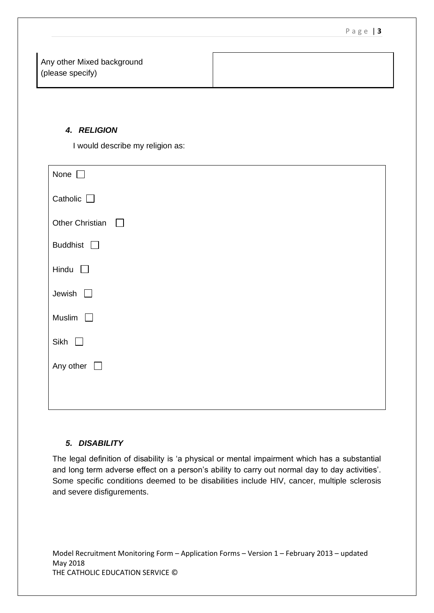Any other Mixed background (please specify)

### *4. RELIGION*

I would describe my religion as:

| None $\square$                   |
|----------------------------------|
| Catholic $\Box$                  |
| <b>Other Christian</b><br>$\Box$ |
| Buddhist $\square$               |
| Hindu<br>$\Box$                  |
| Jewish $\Box$                    |
| Muslim<br>$\Box$                 |
| Sikh $\Box$                      |
| Any other $\Box$                 |
|                                  |
|                                  |

### *5. DISABILITY*

The legal definition of disability is 'a physical or mental impairment which has a substantial and long term adverse effect on a person's ability to carry out normal day to day activities'. Some specific conditions deemed to be disabilities include HIV, cancer, multiple sclerosis and severe disfigurements.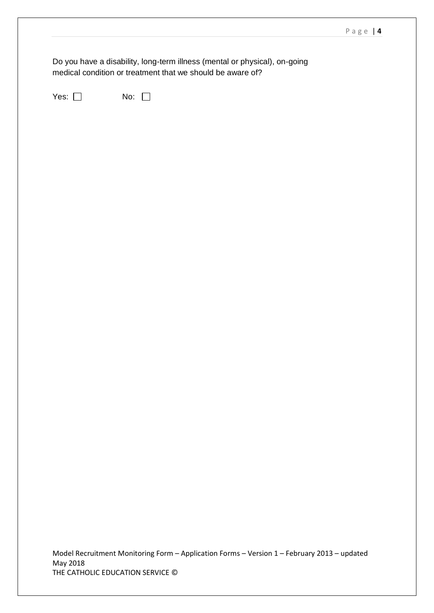Do you have a disability, long-term illness (mental or physical), on-going medical condition or treatment that we should be aware of?

Yes:  $\Box$  No:  $\Box$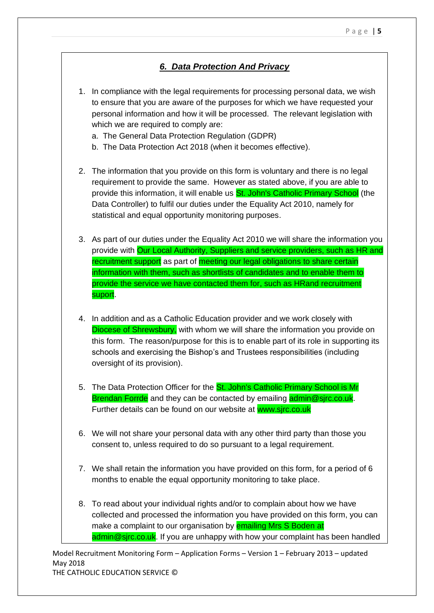## *6. Data Protection And Privacy*

- 1. In compliance with the legal requirements for processing personal data, we wish to ensure that you are aware of the purposes for which we have requested your personal information and how it will be processed. The relevant legislation with which we are required to comply are:
	- a. The General Data Protection Regulation (GDPR)
	- b. The Data Protection Act 2018 (when it becomes effective).
- 2. The information that you provide on this form is voluntary and there is no legal requirement to provide the same. However as stated above, if you are able to provide this information, it will enable us **St. John's Catholic Primary School** (the Data Controller) to fulfil our duties under the Equality Act 2010, namely for statistical and equal opportunity monitoring purposes.
- 3. As part of our duties under the Equality Act 2010 we will share the information you provide with Our Local Authority, Suppliers and service providers, such as HR and recruitment support as part of meeting our legal obligations to share certain information with them, such as shortlists of candidates and to enable them to provide the service we have contacted them for, such as HRand recruitment suport.
- 4. In addition and as a Catholic Education provider and we work closely with Diocese of Shrewsbury, with whom we will share the information you provide on this form. The reason/purpose for this is to enable part of its role in supporting its schools and exercising the Bishop's and Trustees responsibilities (including oversight of its provision).
- 5. The Data Protection Officer for the **St. John's Catholic Primary School is Mr** Brendan Forrde and they can be contacted by emailing admin@sirc.co.uk. Further details can be found on our website at www.sjrc.co.uk
- 6. We will not share your personal data with any other third party than those you consent to, unless required to do so pursuant to a legal requirement.
- 7. We shall retain the information you have provided on this form, for a period of 6 months to enable the equal opportunity monitoring to take place.
- 8. To read about your individual rights and/or to complain about how we have collected and processed the information you have provided on this form, you can make a complaint to our organisation by **emailing Mrs S Boden at** admin@sjrc.co.uk. If you are unhappy with how your complaint has been handled